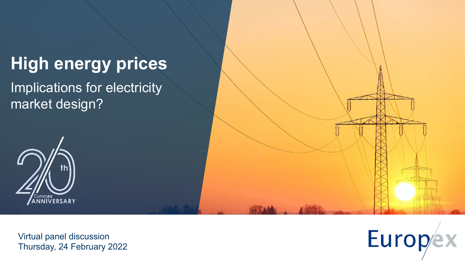## **High energy prices**

Implications for electricity market design?





Virtual panel discussion Thursday, 24 February 2022

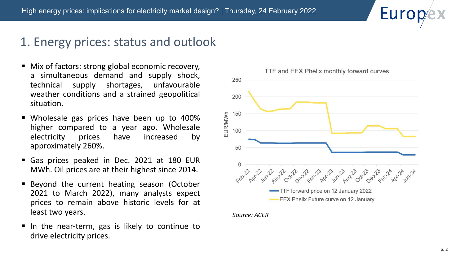#### 1. Energy prices: status and outlook

- Mix of factors: strong global economic recovery, a simultaneous demand and supply shock, technical supply shortages, unfavourable weather conditions and a strained geopolitical situation.
- § Wholesale gas prices have been up to 400% higher compared to a year ago. Wholesale electricity prices have increased by approximately 260%.
- § Gas prices peaked in Dec. 2021 at 180 EUR MWh. Oil prices are at their highest since 2014.
- Beyond the current heating season (October 2021 to March 2022), many analysts expect prices to remain above historic levels for at least two years.
- In the near-term, gas is likely to continue to drive electricity prices.



*Source: ACER*

Euro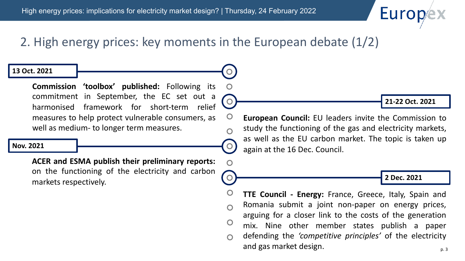## **Euro**

## 2. High energy prices: key moments in the European debate (1/2)

 $\mathbf O$ 

 $\Omega$ 

 $\overline{O}$ 

#### **13 Oct. 2021**

**Commission 'toolbox' published:** Following its commitment in September, the EC set out a harmonised framework for short-term relief measures to help protect vulnerable consumers, as well as medium- to longer term measures.

#### **Nov. 2021**

**ACER and ESMA publish their preliminary reports:** on the functioning of the electricity and carbon markets respectively.

**21-22 Oct. 2021**

**European Council:** EU leaders invite the Commission to study the functioning of the gas and electricity markets, as well as the EU carbon market. The topic is taken up again at the 16 Dec. Council.

**2 Dec. 2021**

**TTE Council - Energy:** France, Greece, Italy, Spain and Romania submit a joint non-paper on energy prices,  $\Omega$ arguing for a closer link to the costs of the generation  $\overline{O}$ mix. Nine other member states publish a paper defending the *'competitive principles'* of the electricity and gas market design.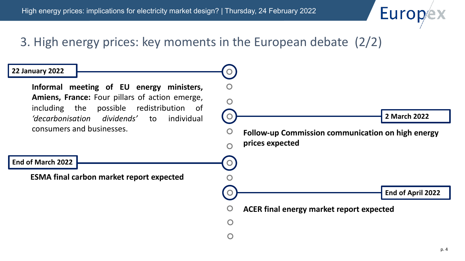

## 3. High energy prices: key moments in the European debate (2/2)



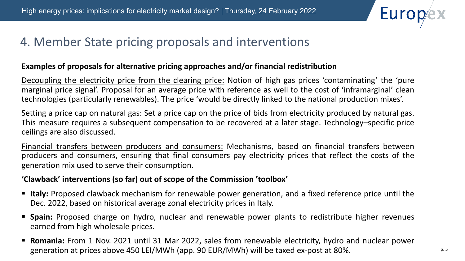

### 4. Member State pricing proposals and interventions

#### **Examples of proposals for alternative pricing approaches and/or financial redistribution**

Decoupling the electricity price from the clearing price: Notion of high gas prices 'contaminating' the 'pure marginal price signal'. Proposal for an average price with reference as well to the cost of 'inframarginal' clean technologies (particularly renewables). The price 'would be directly linked to the national production mixes'.

Setting a price cap on natural gas: Set a price cap on the price of bids from electricity produced by natural gas. This measure requires a subsequent compensation to be recovered at a later stage. Technology–specific price ceilings are also discussed.

Financial transfers between producers and consumers: Mechanisms, based on financial transfers between producers and consumers, ensuring that final consumers pay electricity prices that reflect the costs of the generation mix used to serve their consumption.

#### **'Clawback' interventions (so far) out of scope of the Commission 'toolbox'**

- § **Italy:** Proposed clawback mechanism for renewable power generation, and a fixed reference price until the Dec. 2022, based on historical average zonal electricity prices in Italy.
- **Spain:** Proposed charge on hydro, nuclear and renewable power plants to redistribute higher revenues earned from high wholesale prices.
- **Romania:** From 1 Nov. 2021 until 31 Mar 2022, sales from renewable electricity, hydro and nuclear power generation at prices above 450 LEI/MWh (app. 90 EUR/MWh) will be taxed ex-post at 80%.